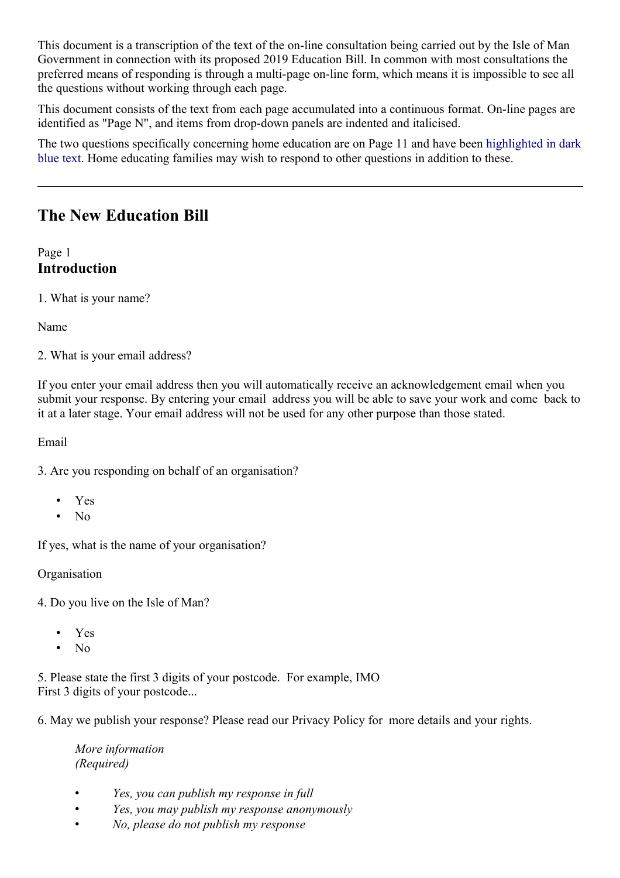This document is a transcription of the text of the on-line consultation being carried out by the Isle of Man Government in connection with its proposed 2019 Education Bill. In common with most consultations the preferred means of responding is through a multi-page on-line form, which means it is impossible to see all the questions without working through each page.

This document consists of the text from each page accumulated into a continuous format. On-line pages are identified as "Page N", and items from drop-down panels are indented and italicised.

The two questions specifically concerning home education are on Page 11 and have been highlighted in dark blue text. Home educating families may wish to respond to other questions in addition to these.

# **The New Education Bill**

Page 1 **Introduction**

1. What is your name?

Name

2. What is your email address?

If you enter your email address then you will automatically receive an acknowledgement email when you submit your response. By entering your email address you will be able to save your work and come back to it at a later stage. Your email address will not be used for any other purpose than those stated.

Email

3. Are you responding on behalf of an organisation?

- Yes
- No

If yes, what is the name of your organisation?

Organisation

4. Do you live on the Isle of Man?

- Yes
- No

5. Please state the first 3 digits of your postcode. For example, IMO First 3 digits of your postcode...

6. May we publish your response? Please read our Privacy Policy for more details and your rights.

*More information (Required)*

- *Yes, you can publish my response in full*
- *Yes, you may publish my response anonymously*
- *No, please do not publish my response*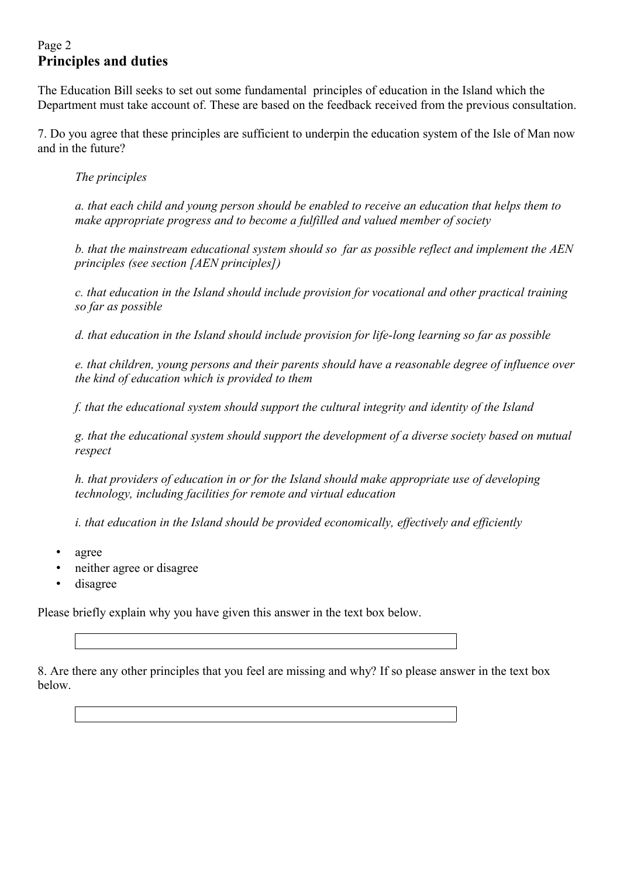## Page 2 **Principles and duties**

The Education Bill seeks to set out some fundamental principles of education in the Island which the Department must take account of. These are based on the feedback received from the previous consultation.

7. Do you agree that these principles are sufficient to underpin the education system of the Isle of Man now and in the future?

*The principles*

*a. that each child and young person should be enabled to receive an education that helps them to make appropriate progress and to become a fulfilled and valued member of society* 

*b. that the mainstream educational system should so far as possible reflect and implement the AEN principles (see section [AEN principles])*

*c. that education in the Island should include provision for vocational and other practical training so far as possible*

*d. that education in the Island should include provision for life-long learning so far as possible*

*e. that children, young persons and their parents should have a reasonable degree of influence over the kind of education which is provided to them*

*f. that the educational system should support the cultural integrity and identity of the Island* 

*g. that the educational system should support the development of a diverse society based on mutual respect*

*h. that providers of education in or for the Island should make appropriate use of developing technology, including facilities for remote and virtual education*

*i. that education in the Island should be provided economically, effectively and efficiently*

- agree
- neither agree or disagree
- disagree

Please briefly explain why you have given this answer in the text box below.

8. Are there any other principles that you feel are missing and why? If so please answer in the text box below.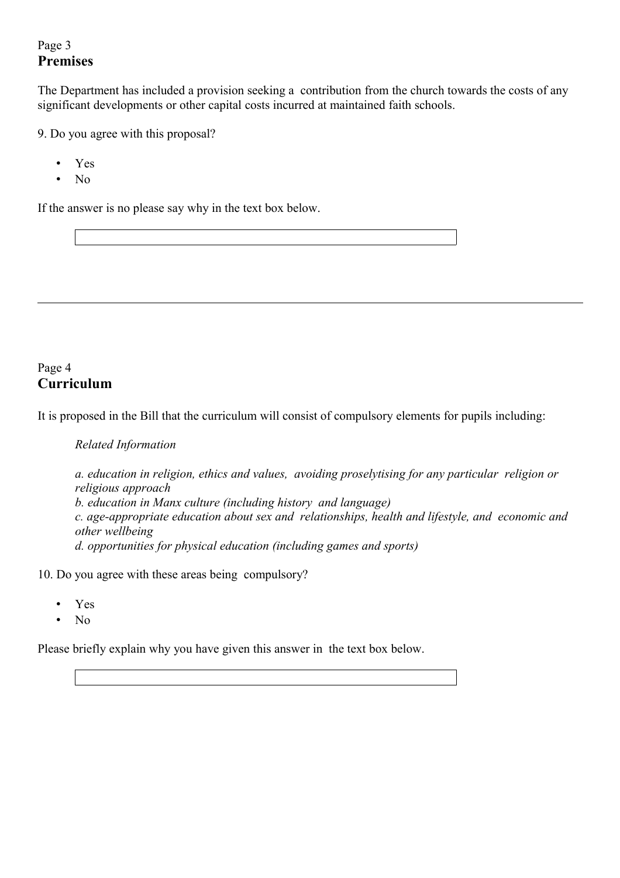## Page 3 **Premises**

The Department has included a provision seeking a contribution from the church towards the costs of any significant developments or other capital costs incurred at maintained faith schools.

9. Do you agree with this proposal?

- Yes
- No

If the answer is no please say why in the text box below.

### Page 4 **Curriculum**

It is proposed in the Bill that the curriculum will consist of compulsory elements for pupils including:

*Related Information*

*a. education in religion, ethics and values, avoiding proselytising for any particular religion or religious approach b. education in Manx culture (including history and language) c. age-appropriate education about sex and relationships, health and lifestyle, and economic and other wellbeing d. opportunities for physical education (including games and sports)*

10. Do you agree with these areas being compulsory?

- Yes
- No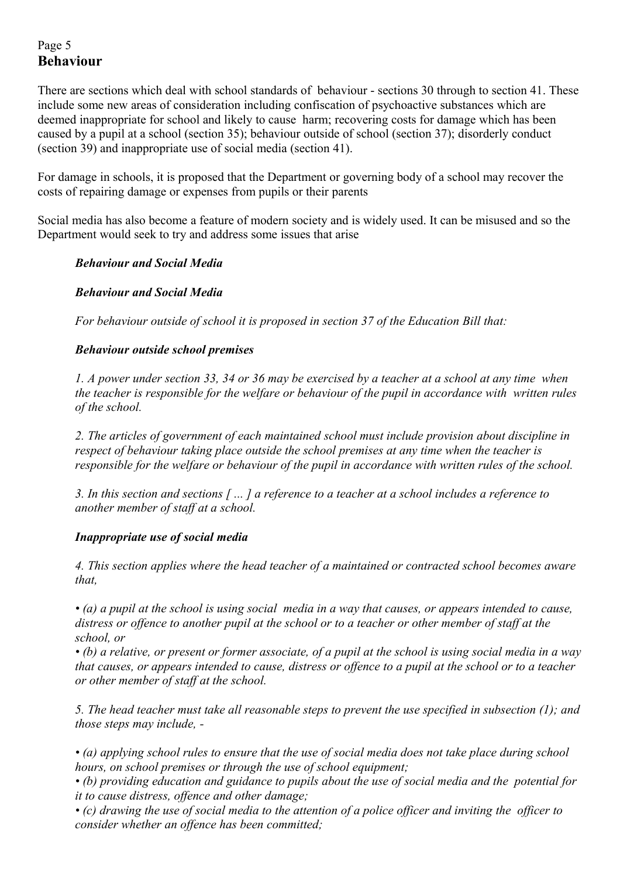## Page 5 **Behaviour**

There are sections which deal with school standards of behaviour - sections 30 through to section 41. These include some new areas of consideration including confiscation of psychoactive substances which are deemed inappropriate for school and likely to cause harm; recovering costs for damage which has been caused by a pupil at a school (section 35); behaviour outside of school (section 37); disorderly conduct (section 39) and inappropriate use of social media (section 41).

For damage in schools, it is proposed that the Department or governing body of a school may recover the costs of repairing damage or expenses from pupils or their parents

Social media has also become a feature of modern society and is widely used. It can be misused and so the Department would seek to try and address some issues that arise

#### *Behaviour and Social Media*

#### *Behaviour and Social Media*

*For behaviour outside of school it is proposed in section 37 of the Education Bill that:*

#### *Behaviour outside school premises*

*1. A power under section 33, 34 or 36 may be exercised by a teacher at a school at any time when the teacher is responsible for the welfare or behaviour of the pupil in accordance with written rules of the school.*

*2. The articles of government of each maintained school must include provision about discipline in respect of behaviour taking place outside the school premises at any time when the teacher is responsible for the welfare or behaviour of the pupil in accordance with written rules of the school.*

*3. In this section and sections [ ... ] a reference to a teacher at a school includes a reference to another member of staff at a school.*

#### *Inappropriate use of social media*

*4. This section applies where the head teacher of a maintained or contracted school becomes aware that,*

*• (a) a pupil at the school is using social media in a way that causes, or appears intended to cause, distress or offence to another pupil at the school or to a teacher or other member of staff at the school, or*

*• (b) a relative, or present or former associate, of a pupil at the school is using social media in a way that causes, or appears intended to cause, distress or offence to a pupil at the school or to a teacher or other member of staff at the school.*

*5. The head teacher must take all reasonable steps to prevent the use specified in subsection (1); and those steps may include, -*

*• (a) applying school rules to ensure that the use of social media does not take place during school hours, on school premises or through the use of school equipment;*

*• (b) providing education and guidance to pupils about the use of social media and the potential for it to cause distress, offence and other damage;*

*• (c) drawing the use of social media to the attention of a police officer and inviting the officer to consider whether an offence has been committed;*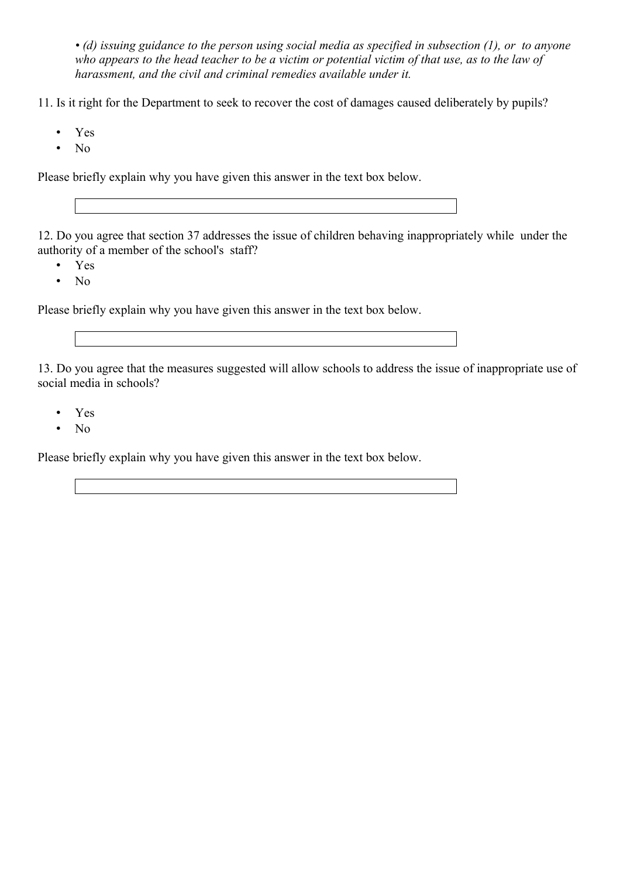*• (d) issuing guidance to the person using social media as specified in subsection (1), or to anyone who appears to the head teacher to be a victim or potential victim of that use, as to the law of harassment, and the civil and criminal remedies available under it.*

11. Is it right for the Department to seek to recover the cost of damages caused deliberately by pupils?

- Yes
- No

Please briefly explain why you have given this answer in the text box below.

12. Do you agree that section 37 addresses the issue of children behaving inappropriately while under the authority of a member of the school's staff?

- Yes
- No

Please briefly explain why you have given this answer in the text box below.

13. Do you agree that the measures suggested will allow schools to address the issue of inappropriate use of social media in schools?

- Yes
- No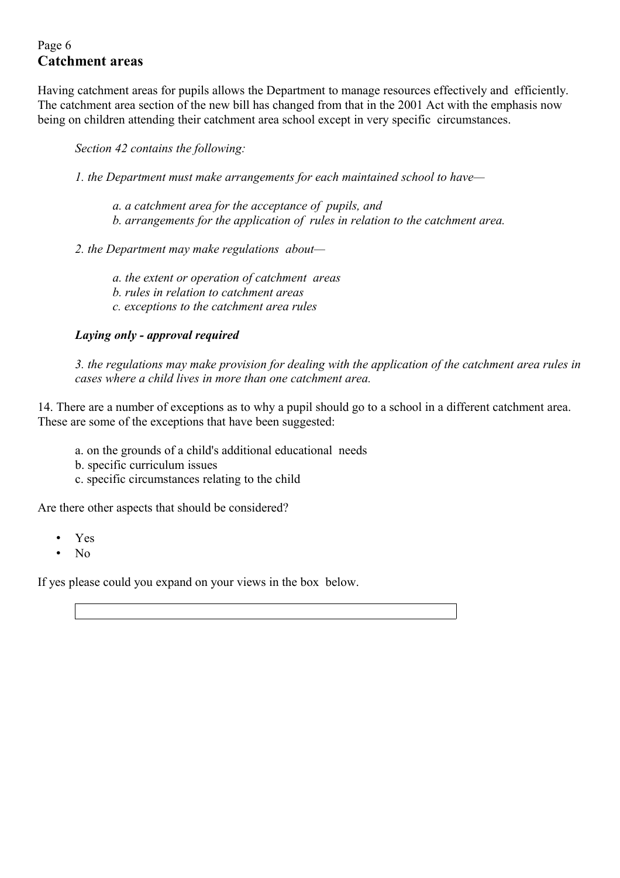## Page 6 **Catchment areas**

Having catchment areas for pupils allows the Department to manage resources effectively and efficiently. The catchment area section of the new bill has changed from that in the 2001 Act with the emphasis now being on children attending their catchment area school except in very specific circumstances.

*Section 42 contains the following:*

*1. the Department must make arrangements for each maintained school to have—*

- *a. a catchment area for the acceptance of pupils, and b. arrangements for the application of rules in relation to the catchment area.*
- *2. the Department may make regulations about*
	- *a. the extent or operation of catchment areas*
	- *b. rules in relation to catchment areas*
	- *c. exceptions to the catchment area rules*

#### *Laying only - approval required*

*3. the regulations may make provision for dealing with the application of the catchment area rules in cases where a child lives in more than one catchment area.*

14. There are a number of exceptions as to why a pupil should go to a school in a different catchment area. These are some of the exceptions that have been suggested:

- a. on the grounds of a child's additional educational needs
- b. specific curriculum issues
- c. specific circumstances relating to the child

Are there other aspects that should be considered?

- Yes
- No

If yes please could you expand on your views in the box below.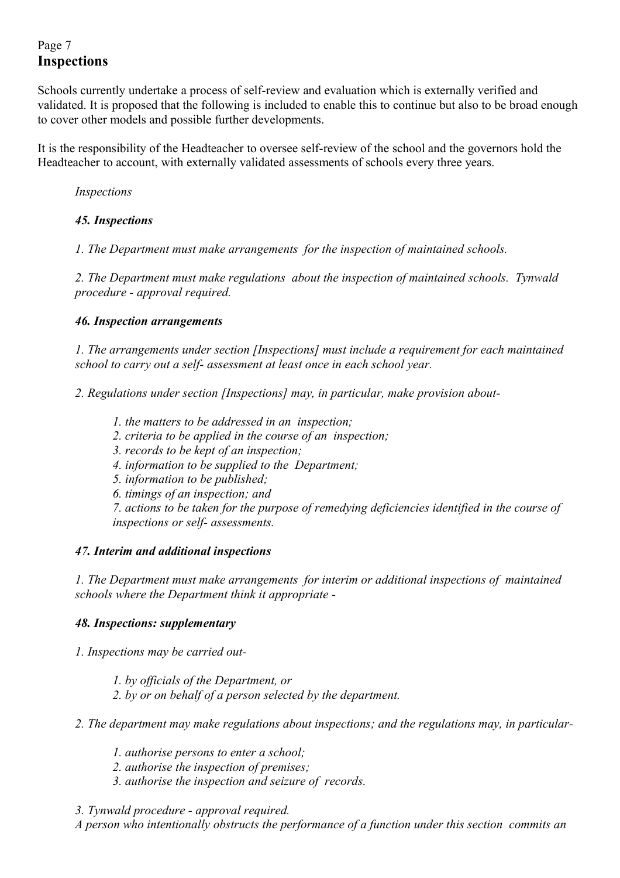## Page 7 **Inspections**

Schools currently undertake a process of self-review and evaluation which is externally verified and validated. It is proposed that the following is included to enable this to continue but also to be broad enough to cover other models and possible further developments.

It is the responsibility of the Headteacher to oversee self-review of the school and the governors hold the Headteacher to account, with externally validated assessments of schools every three years.

*Inspections* 

### *45. Inspections*

*1. The Department must make arrangements for the inspection of maintained schools.*

*2. The Department must make regulations about the inspection of maintained schools. Tynwald procedure - approval required.*

#### *46. Inspection arrangements*

*1. The arrangements under section [Inspections] must include a requirement for each maintained school to carry out a self- assessment at least once in each school year.*

*2. Regulations under section [Inspections] may, in particular, make provision about-*

- *1. the matters to be addressed in an inspection;*
- *2. criteria to be applied in the course of an inspection;*
- *3. records to be kept of an inspection;*
- *4. information to be supplied to the Department;*
- *5. information to be published;*
- *6. timings of an inspection; and*

*7. actions to be taken for the purpose of remedying deficiencies identified in the course of inspections or self- assessments.*

#### *47. Interim and additional inspections*

*1. The Department must make arrangements for interim or additional inspections of maintained schools where the Department think it appropriate -*

#### *48. Inspections: supplementary*

*1. Inspections may be carried out-*

- *1. by officials of the Department, or*
- *2. by or on behalf of a person selected by the department.*

*2. The department may make regulations about inspections; and the regulations may, in particular-*

- *1. authorise persons to enter a school;*
- *2. authorise the inspection of premises;*
- *3. authorise the inspection and seizure of records.*
- *3. Tynwald procedure approval required.*

*A person who intentionally obstructs the performance of a function under this section commits an*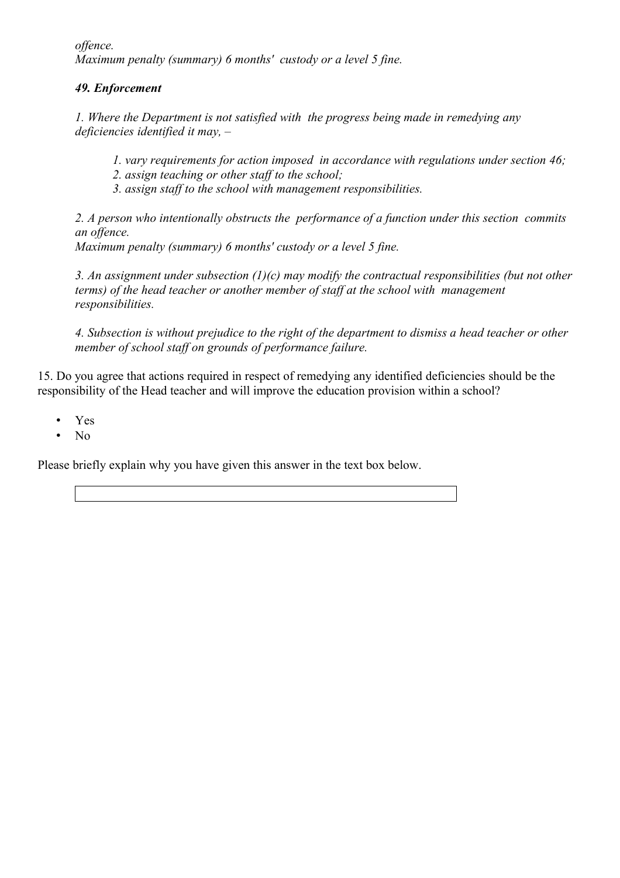*offence. Maximum penalty (summary) 6 months' custody or a level 5 fine.*

### *49. Enforcement*

*1. Where the Department is not satisfied with the progress being made in remedying any deficiencies identified it may, –*

*1. vary requirements for action imposed in accordance with regulations under section 46;*

*2. assign teaching or other staff to the school;*

*3. assign staff to the school with management responsibilities.*

*2. A person who intentionally obstructs the performance of a function under this section commits an offence.*

*Maximum penalty (summary) 6 months' custody or a level 5 fine.*

*3. An assignment under subsection (1)(c) may modify the contractual responsibilities (but not other terms) of the head teacher or another member of staff at the school with management responsibilities.*

*4. Subsection is without prejudice to the right of the department to dismiss a head teacher or other member of school staff on grounds of performance failure.*

15. Do you agree that actions required in respect of remedying any identified deficiencies should be the responsibility of the Head teacher and will improve the education provision within a school?

- Yes
- No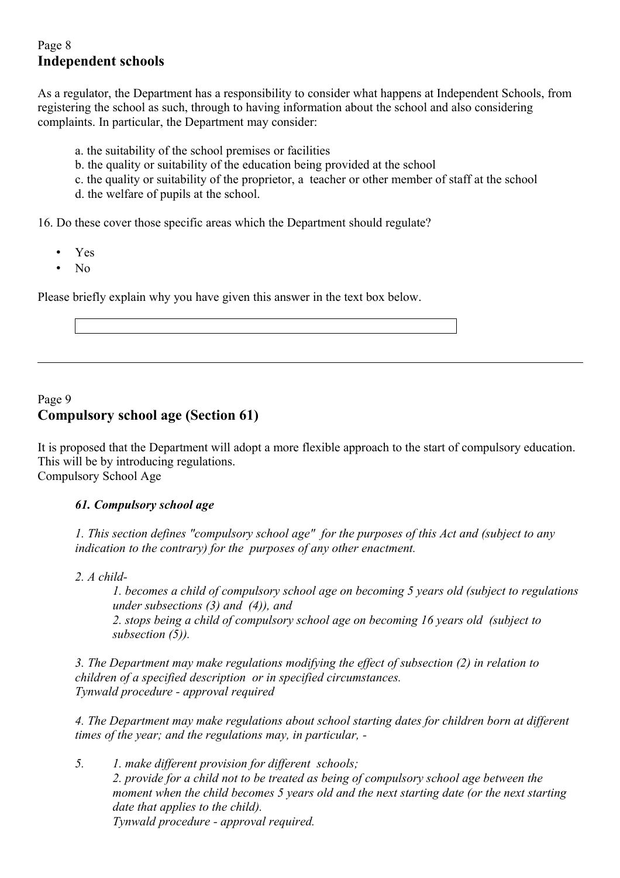### Page 8 **Independent schools**

As a regulator, the Department has a responsibility to consider what happens at Independent Schools, from registering the school as such, through to having information about the school and also considering complaints. In particular, the Department may consider:

- a. the suitability of the school premises or facilities
- b. the quality or suitability of the education being provided at the school
- c. the quality or suitability of the proprietor, a teacher or other member of staff at the school
- d. the welfare of pupils at the school.

16. Do these cover those specific areas which the Department should regulate?

- Yes
- No

Please briefly explain why you have given this answer in the text box below.

### Page 9 **Compulsory school age (Section 61)**

It is proposed that the Department will adopt a more flexible approach to the start of compulsory education. This will be by introducing regulations. Compulsory School Age

### *61. Compulsory school age*

*1. This section defines "compulsory school age" for the purposes of this Act and (subject to any indication to the contrary) for the purposes of any other enactment.*

*2. A child-*

*1. becomes a child of compulsory school age on becoming 5 years old (subject to regulations under subsections (3) and (4)), and 2. stops being a child of compulsory school age on becoming 16 years old (subject to subsection (5)).*

*3. The Department may make regulations modifying the effect of subsection (2) in relation to children of a specified description or in specified circumstances. Tynwald procedure - approval required*

*4. The Department may make regulations about school starting dates for children born at different times of the year; and the regulations may, in particular, -*

*5. 1. make different provision for different schools; 2. provide for a child not to be treated as being of compulsory school age between the moment when the child becomes 5 years old and the next starting date (or the next starting date that applies to the child). Tynwald procedure - approval required.*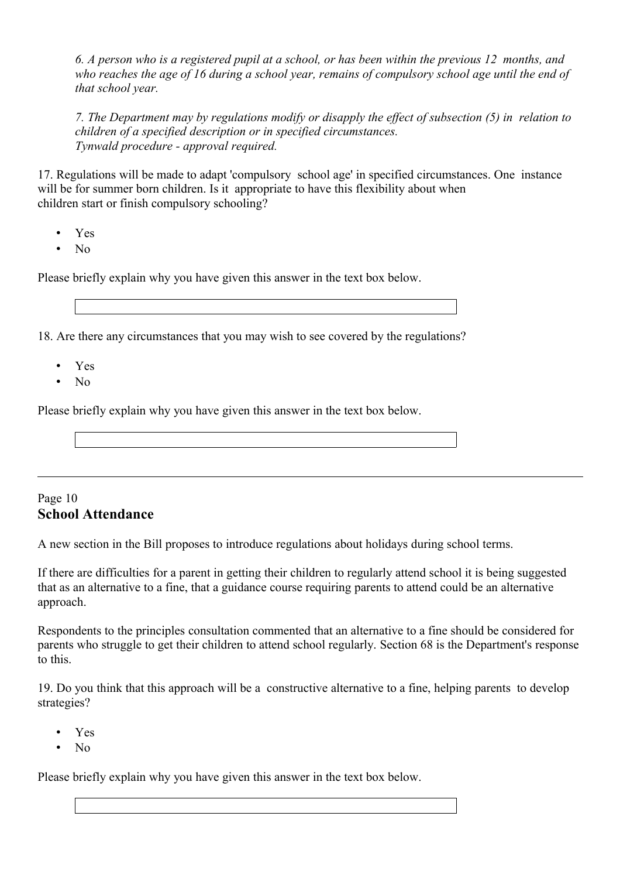*6. A person who is a registered pupil at a school, or has been within the previous 12 months, and who reaches the age of 16 during a school year, remains of compulsory school age until the end of that school year.*

*7. The Department may by regulations modify or disapply the effect of subsection (5) in relation to children of a specified description or in specified circumstances. Tynwald procedure - approval required.*

17. Regulations will be made to adapt 'compulsory school age' in specified circumstances. One instance will be for summer born children. Is it appropriate to have this flexibility about when children start or finish compulsory schooling?

- Yes
- No

Please briefly explain why you have given this answer in the text box below.

18. Are there any circumstances that you may wish to see covered by the regulations?

- Yes
- No

Please briefly explain why you have given this answer in the text box below.

### Page 10 **School Attendance**

A new section in the Bill proposes to introduce regulations about holidays during school terms.

If there are difficulties for a parent in getting their children to regularly attend school it is being suggested that as an alternative to a fine, that a guidance course requiring parents to attend could be an alternative approach.

Respondents to the principles consultation commented that an alternative to a fine should be considered for parents who struggle to get their children to attend school regularly. Section 68 is the Department's response to this.

19. Do you think that this approach will be a constructive alternative to a fine, helping parents to develop strategies?

- Yes
- No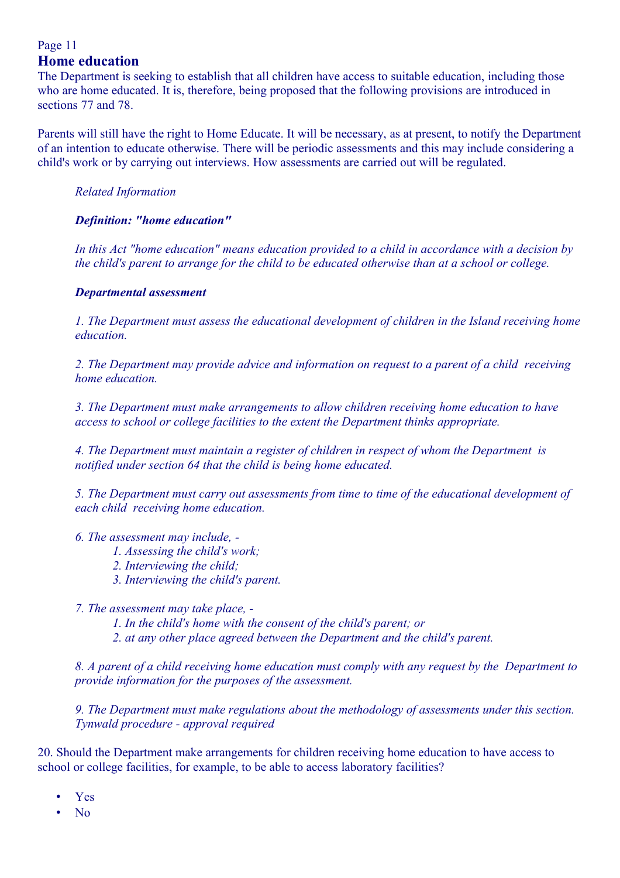### Page 11 **Home education**

The Department is seeking to establish that all children have access to suitable education, including those who are home educated. It is, therefore, being proposed that the following provisions are introduced in sections 77 and 78.

Parents will still have the right to Home Educate. It will be necessary, as at present, to notify the Department of an intention to educate otherwise. There will be periodic assessments and this may include considering a child's work or by carrying out interviews. How assessments are carried out will be regulated.

*Related Information* 

#### *Definition: "home education"*

*In this Act "home education" means education provided to a child in accordance with a decision by the child's parent to arrange for the child to be educated otherwise than at a school or college.*

#### *Departmental assessment*

*1. The Department must assess the educational development of children in the Island receiving home education.*

*2. The Department may provide advice and information on request to a parent of a child receiving home education.*

*3. The Department must make arrangements to allow children receiving home education to have access to school or college facilities to the extent the Department thinks appropriate.*

*4. The Department must maintain a register of children in respect of whom the Department is notified under section 64 that the child is being home educated.*

*5. The Department must carry out assessments from time to time of the educational development of each child receiving home education.*

#### *6. The assessment may include, -*

- *1. Assessing the child's work;*
- *2. Interviewing the child;*
- *3. Interviewing the child's parent.*

*7. The assessment may take place, -*

*1. In the child's home with the consent of the child's parent; or*

*2. at any other place agreed between the Department and the child's parent.*

*8. A parent of a child receiving home education must comply with any request by the Department to provide information for the purposes of the assessment.*

*9. The Department must make regulations about the methodology of assessments under this section. Tynwald procedure - approval required*

20. Should the Department make arrangements for children receiving home education to have access to school or college facilities, for example, to be able to access laboratory facilities?

- Yes
- No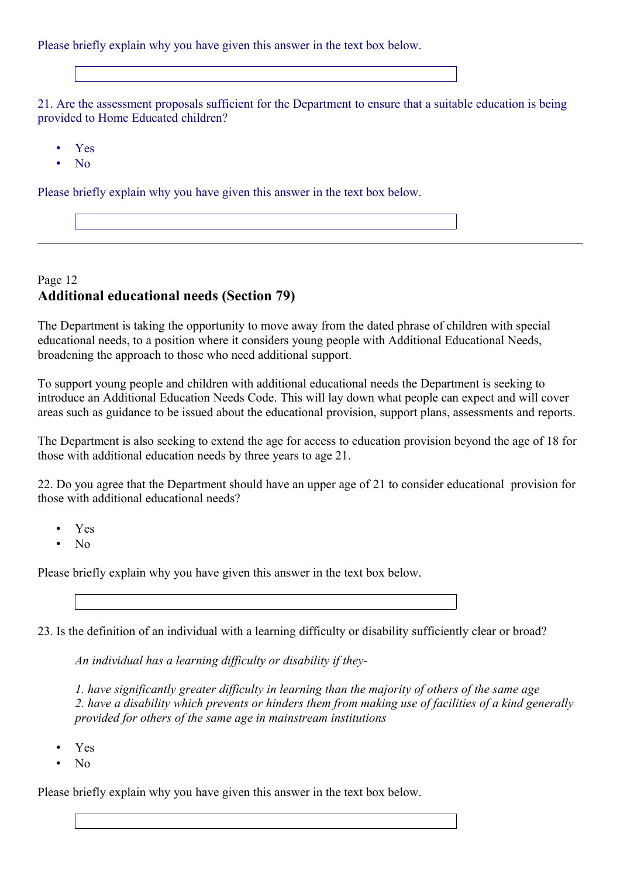Please briefly explain why you have given this answer in the text box below.

21. Are the assessment proposals sufficient for the Department to ensure that a suitable education is being provided to Home Educated children?

- Yes
- No

Please briefly explain why you have given this answer in the text box below.

### Page 12 **Additional educational needs (Section 79)**

The Department is taking the opportunity to move away from the dated phrase of children with special educational needs, to a position where it considers young people with Additional Educational Needs, broadening the approach to those who need additional support.

To support young people and children with additional educational needs the Department is seeking to introduce an Additional Education Needs Code. This will lay down what people can expect and will cover areas such as guidance to be issued about the educational provision, support plans, assessments and reports.

The Department is also seeking to extend the age for access to education provision beyond the age of 18 for those with additional education needs by three years to age 21.

22. Do you agree that the Department should have an upper age of 21 to consider educational provision for those with additional educational needs?

- Yes
- $N<sub>0</sub>$

Please briefly explain why you have given this answer in the text box below.

23. Is the definition of an individual with a learning difficulty or disability sufficiently clear or broad?

*An individual has a learning difficulty or disability if they-*

*1. have significantly greater difficulty in learning than the majority of others of the same age 2. have a disability which prevents or hinders them from making use of facilities of a kind generally provided for others of the same age in mainstream institutions*

- Yes
- $N<sub>0</sub>$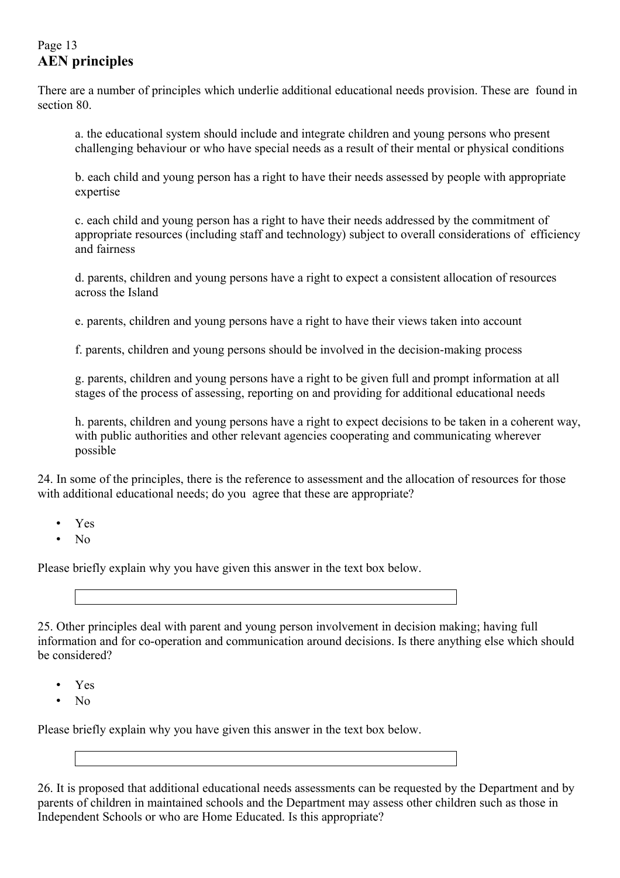## Page 13 **AEN principles**

There are a number of principles which underlie additional educational needs provision. These are found in section 80.

a. the educational system should include and integrate children and young persons who present challenging behaviour or who have special needs as a result of their mental or physical conditions

b. each child and young person has a right to have their needs assessed by people with appropriate expertise

c. each child and young person has a right to have their needs addressed by the commitment of appropriate resources (including staff and technology) subject to overall considerations of efficiency and fairness

d. parents, children and young persons have a right to expect a consistent allocation of resources across the Island

e. parents, children and young persons have a right to have their views taken into account

f. parents, children and young persons should be involved in the decision-making process

g. parents, children and young persons have a right to be given full and prompt information at all stages of the process of assessing, reporting on and providing for additional educational needs

h. parents, children and young persons have a right to expect decisions to be taken in a coherent way, with public authorities and other relevant agencies cooperating and communicating wherever possible

24. In some of the principles, there is the reference to assessment and the allocation of resources for those with additional educational needs; do you agree that these are appropriate?

- Yes
- $N<sub>0</sub>$

Please briefly explain why you have given this answer in the text box below.

25. Other principles deal with parent and young person involvement in decision making; having full information and for co-operation and communication around decisions. Is there anything else which should be considered?

- Yes
- No

Please briefly explain why you have given this answer in the text box below.

26. It is proposed that additional educational needs assessments can be requested by the Department and by parents of children in maintained schools and the Department may assess other children such as those in Independent Schools or who are Home Educated. Is this appropriate?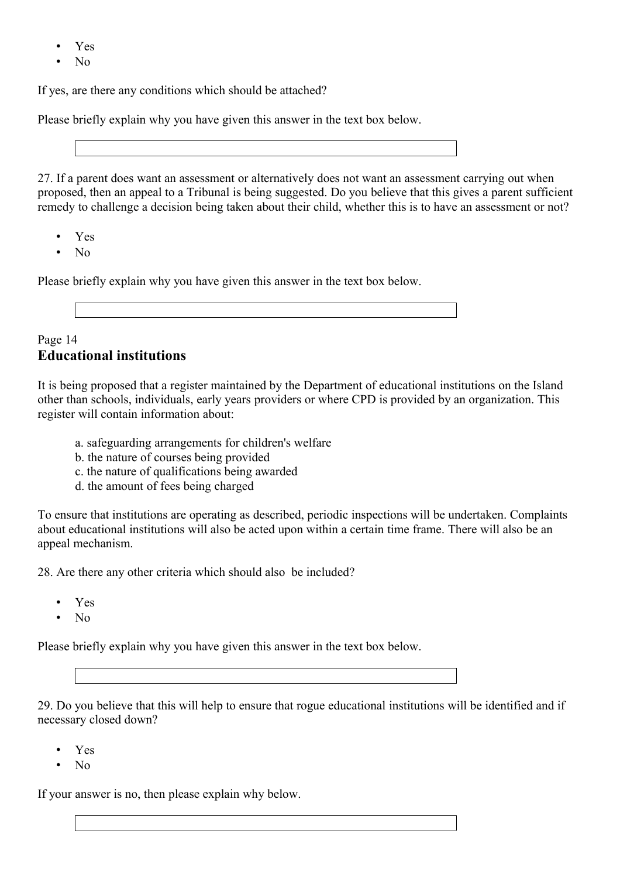- Yes
- $N<sub>0</sub>$

If yes, are there any conditions which should be attached?

Please briefly explain why you have given this answer in the text box below.

27. If a parent does want an assessment or alternatively does not want an assessment carrying out when proposed, then an appeal to a Tribunal is being suggested. Do you believe that this gives a parent sufficient remedy to challenge a decision being taken about their child, whether this is to have an assessment or not?

- Yes
- $N<sub>0</sub>$

Please briefly explain why you have given this answer in the text box below.

## Page 14 **Educational institutions**

It is being proposed that a register maintained by the Department of educational institutions on the Island other than schools, individuals, early years providers or where CPD is provided by an organization. This register will contain information about:

- a. safeguarding arrangements for children's welfare
- b. the nature of courses being provided
- c. the nature of qualifications being awarded
- d. the amount of fees being charged

To ensure that institutions are operating as described, periodic inspections will be undertaken. Complaints about educational institutions will also be acted upon within a certain time frame. There will also be an appeal mechanism.

28. Are there any other criteria which should also be included?

- Yes
- No

Please briefly explain why you have given this answer in the text box below.

29. Do you believe that this will help to ensure that rogue educational institutions will be identified and if necessary closed down?

- Yes
- $N<sub>0</sub>$

If your answer is no, then please explain why below.